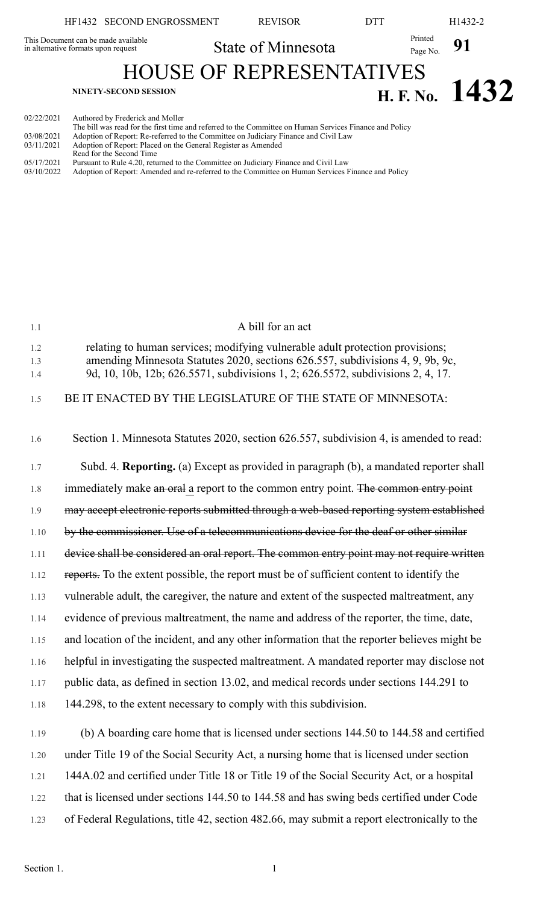## HF1432 SECOND ENGROSSMENT REVISOR DTT H1432-2 State of Minnesota Printed Page No. 91 This Document can be made available in alternative formats upon request HOUSE OF REPRESENTATIVES  $H. F. No. 1432$ 02/22/2021 Authored by Frederick and Moller

|            | The bill was read for the first time and referred to the Committee on Human Services Finance and Policy |
|------------|---------------------------------------------------------------------------------------------------------|
| 03/08/2021 | Adoption of Report: Re-referred to the Committee on Judiciary Finance and Civil Law                     |
| 03/11/2021 | Adoption of Report: Placed on the General Register as Amended                                           |
|            | Read for the Second Time                                                                                |
| 05/17/2021 | Pursuant to Rule 4.20, returned to the Committee on Judiciary Finance and Civil Law                     |
| 03/10/2022 | Adoption of Report: Amended and re-referred to the Committee on Human Services Finance and Policy       |

| 1.1               | A bill for an act                                                                                                                                                                                                                                  |
|-------------------|----------------------------------------------------------------------------------------------------------------------------------------------------------------------------------------------------------------------------------------------------|
| 1.2<br>1.3<br>1.4 | relating to human services; modifying vulnerable adult protection provisions;<br>amending Minnesota Statutes 2020, sections 626.557, subdivisions 4, 9, 9b, 9c,<br>9d, 10, 10b, 12b; 626.5571, subdivisions 1, 2; 626.5572, subdivisions 2, 4, 17. |
| 1.5               | BE IT ENACTED BY THE LEGISLATURE OF THE STATE OF MINNESOTA:                                                                                                                                                                                        |
| 1.6               | Section 1. Minnesota Statutes 2020, section 626.557, subdivision 4, is amended to read:                                                                                                                                                            |
| 1.7               | Subd. 4. Reporting. (a) Except as provided in paragraph (b), a mandated reporter shall                                                                                                                                                             |
| 1.8               | immediately make an oral a report to the common entry point. The common entry point                                                                                                                                                                |
| 1.9               | may accept electronic reports submitted through a web-based reporting system established                                                                                                                                                           |
| 1.10              | by the commissioner. Use of a telecommunications device for the deaf or other similar                                                                                                                                                              |
| 1.11              | device shall be considered an oral report. The common entry point may not require written                                                                                                                                                          |
| 1.12              | reports. To the extent possible, the report must be of sufficient content to identify the                                                                                                                                                          |
| 1.13              | vulnerable adult, the caregiver, the nature and extent of the suspected maltreatment, any                                                                                                                                                          |
| 1.14              | evidence of previous maltreatment, the name and address of the reporter, the time, date,                                                                                                                                                           |
| 1.15              | and location of the incident, and any other information that the reporter believes might be                                                                                                                                                        |
| 1.16              | helpful in investigating the suspected maltreatment. A mandated reporter may disclose not                                                                                                                                                          |
| 1.17              | public data, as defined in section 13.02, and medical records under sections 144.291 to                                                                                                                                                            |
| 1.18              | 144.298, to the extent necessary to comply with this subdivision.                                                                                                                                                                                  |
| 1.19              | (b) A boarding care home that is licensed under sections 144.50 to 144.58 and certified                                                                                                                                                            |
| 1.20              | under Title 19 of the Social Security Act, a nursing home that is licensed under section                                                                                                                                                           |
| 1.21              | 144A.02 and certified under Title 18 or Title 19 of the Social Security Act, or a hospital                                                                                                                                                         |
| 1.22              | that is licensed under sections 144.50 to 144.58 and has swing beds certified under Code                                                                                                                                                           |
| 1.23              | of Federal Regulations, title 42, section 482.66, may submit a report electronically to the                                                                                                                                                        |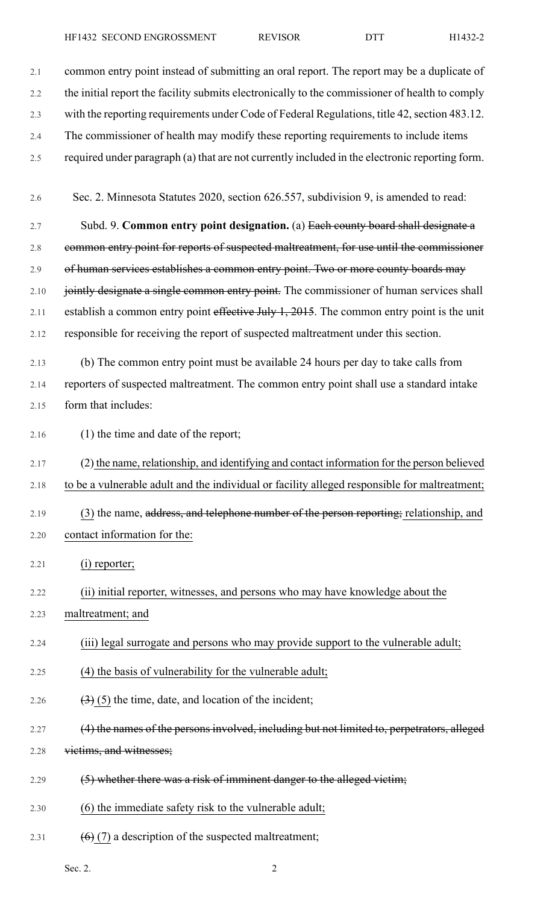HF1432 SECOND ENGROSSMENT REVISOR DTT H1432-2

| 2.1     | common entry point instead of submitting an oral report. The report may be a duplicate of      |
|---------|------------------------------------------------------------------------------------------------|
| 2.2     | the initial report the facility submits electronically to the commissioner of health to comply |
| 2.3     | with the reporting requirements under Code of Federal Regulations, title 42, section 483.12.   |
| 2.4     | The commissioner of health may modify these reporting requirements to include items            |
| 2.5     | required under paragraph (a) that are not currently included in the electronic reporting form. |
|         |                                                                                                |
| 2.6     | Sec. 2. Minnesota Statutes 2020, section 626.557, subdivision 9, is amended to read:           |
| 2.7     | Subd. 9. Common entry point designation. (a) Each county board shall designate a               |
| $2.8\,$ | common entry point for reports of suspected maltreatment, for use until the commissioner       |
| 2.9     | of human services establishes a common entry point. Two or more county boards may              |
| 2.10    | jointly designate a single common entry point. The commissioner of human services shall        |
| 2.11    | establish a common entry point effective July 1, 2015. The common entry point is the unit      |
| 2.12    | responsible for receiving the report of suspected maltreatment under this section.             |
| 2.13    | (b) The common entry point must be available 24 hours per day to take calls from               |
| 2.14    | reporters of suspected maltreatment. The common entry point shall use a standard intake        |
| 2.15    | form that includes:                                                                            |
| 2.16    | (1) the time and date of the report;                                                           |
| 2.17    | (2) the name, relationship, and identifying and contact information for the person believed    |
| 2.18    | to be a vulnerable adult and the individual or facility alleged responsible for maltreatment;  |
| 2.19    | (3) the name, address, and telephone number of the person reporting; relationship, and         |
| 2.20    | contact information for the:                                                                   |
| 2.21    | (i) reporter;                                                                                  |
|         |                                                                                                |
| 2.22    | (ii) initial reporter, witnesses, and persons who may have knowledge about the                 |
| 2.23    | maltreatment; and                                                                              |
| 2.24    | (iii) legal surrogate and persons who may provide support to the vulnerable adult;             |
| 2.25    | (4) the basis of vulnerability for the vulnerable adult;                                       |
| 2.26    | $\left(\frac{3}{2}\right)$ (5) the time, date, and location of the incident;                   |
| 2.27    | (4) the names of the persons involved, including but not limited to, perpetrators, alleged     |
| 2.28    | victims, and witnesses;                                                                        |
| 2.29    | (5) whether there was a risk of imminent danger to the alleged victim;                         |
| 2.30    | (6) the immediate safety risk to the vulnerable adult;                                         |
|         |                                                                                                |

2.31 (6) $(7)$  a description of the suspected maltreatment;

Sec. 2.  $2$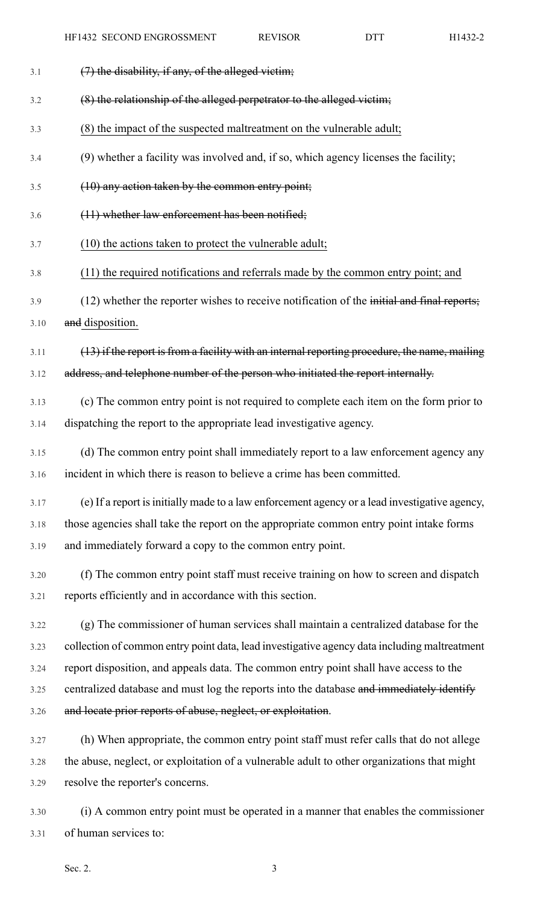- $3.1$  (7) the disability, if any, of the alleged victim;
- 3.2 (8) the relationship of the alleged perpetrator to the alleged victim;
- 3.3 (8) the impact of the suspected maltreatment on the vulnerable adult;
- 3.4 (9) whether a facility was involved and, if so, which agency licenses the facility;
- 3.5 (10) any action taken by the common entry point;
- 3.6 (11) whether law enforcement has been notified;
- 3.7 (10) the actions taken to protect the vulnerable adult;
- 3.8 (11) the required notifications and referrals made by the common entry point; and
- 3.9 (12) whether the reporter wishes to receive notification of the initial and final reports; 3.10 and disposition.
- $3.11$  (13) if the report is from a facility with an internal reporting procedure, the name, mailing 3.12 address, and telephone number of the person who initiated the report internally.
- 3.13 (c) The common entry point is not required to complete each item on the form prior to 3.14 dispatching the report to the appropriate lead investigative agency.
- 3.15 (d) The common entry point shall immediately report to a law enforcement agency any 3.16 incident in which there is reason to believe a crime has been committed.
- 3.17 (e) If a report isinitially made to a law enforcement agency or a lead investigative agency, 3.18 those agencies shall take the report on the appropriate common entry point intake forms 3.19 and immediately forward a copy to the common entry point.
- 3.20 (f) The common entry point staff must receive training on how to screen and dispatch 3.21 reports efficiently and in accordance with this section.
- 3.22 (g) The commissioner of human services shall maintain a centralized database for the 3.23 collection of common entry point data, lead investigative agency data including maltreatment 3.24 report disposition, and appeals data. The common entry point shall have access to the 3.25 centralized database and must log the reports into the database and immediately identify 3.26 and locate prior reports of abuse, neglect, or exploitation.
- 3.27 (h) When appropriate, the common entry point staff must refer calls that do not allege 3.28 the abuse, neglect, or exploitation of a vulnerable adult to other organizations that might 3.29 resolve the reporter's concerns.
- 3.30 (i) A common entry point must be operated in a manner that enables the commissioner 3.31 of human services to: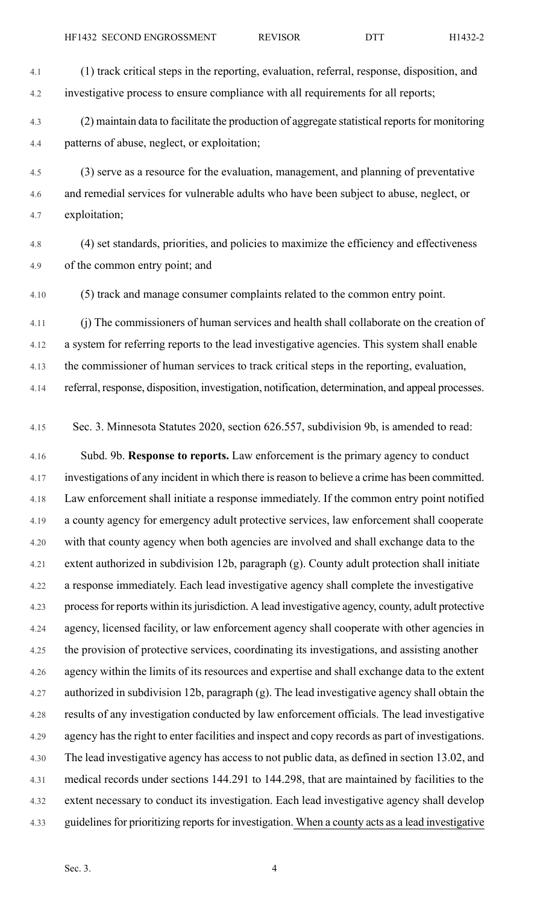4.1 (1) track critical steps in the reporting, evaluation, referral, response, disposition, and 4.2 investigative process to ensure compliance with all requirements for all reports;

4.3 (2) maintain data to facilitate the production of aggregate statistical reports for monitoring 4.4 patterns of abuse, neglect, or exploitation;

4.5 (3) serve as a resource for the evaluation, management, and planning of preventative 4.6 and remedial services for vulnerable adults who have been subject to abuse, neglect, or 4.7 exploitation;

4.8 (4) set standards, priorities, and policies to maximize the efficiency and effectiveness 4.9 of the common entry point; and

4.10 (5) track and manage consumer complaints related to the common entry point.

4.11 (j) The commissioners of human services and health shall collaborate on the creation of 4.12 a system for referring reports to the lead investigative agencies. This system shall enable 4.13 the commissioner of human services to track critical steps in the reporting, evaluation, 4.14 referral, response, disposition, investigation, notification, determination, and appeal processes.

4.15 Sec. 3. Minnesota Statutes 2020, section 626.557, subdivision 9b, is amended to read:

4.16 Subd. 9b. **Response to reports.** Law enforcement is the primary agency to conduct 4.17 investigations of any incident in which there isreason to believe a crime has been committed. 4.18 Law enforcement shall initiate a response immediately. If the common entry point notified 4.19 a county agency for emergency adult protective services, law enforcement shall cooperate 4.20 with that county agency when both agencies are involved and shall exchange data to the 4.21 extent authorized in subdivision 12b, paragraph (g). County adult protection shall initiate 4.22 a response immediately. Each lead investigative agency shall complete the investigative 4.23 processfor reports within itsjurisdiction. A lead investigative agency, county, adult protective 4.24 agency, licensed facility, or law enforcement agency shall cooperate with other agencies in 4.25 the provision of protective services, coordinating its investigations, and assisting another 4.26 agency within the limits of its resources and expertise and shall exchange data to the extent 4.27 authorized in subdivision 12b, paragraph (g). The lead investigative agency shall obtain the 4.28 results of any investigation conducted by law enforcement officials. The lead investigative 4.29 agency hasthe right to enter facilities and inspect and copy records as part of investigations. 4.30 The lead investigative agency has access to not public data, as defined in section 13.02, and 4.31 medical records under sections 144.291 to 144.298, that are maintained by facilities to the 4.32 extent necessary to conduct its investigation. Each lead investigative agency shall develop 4.33 guidelines for prioritizing reports for investigation. When a county acts as a lead investigative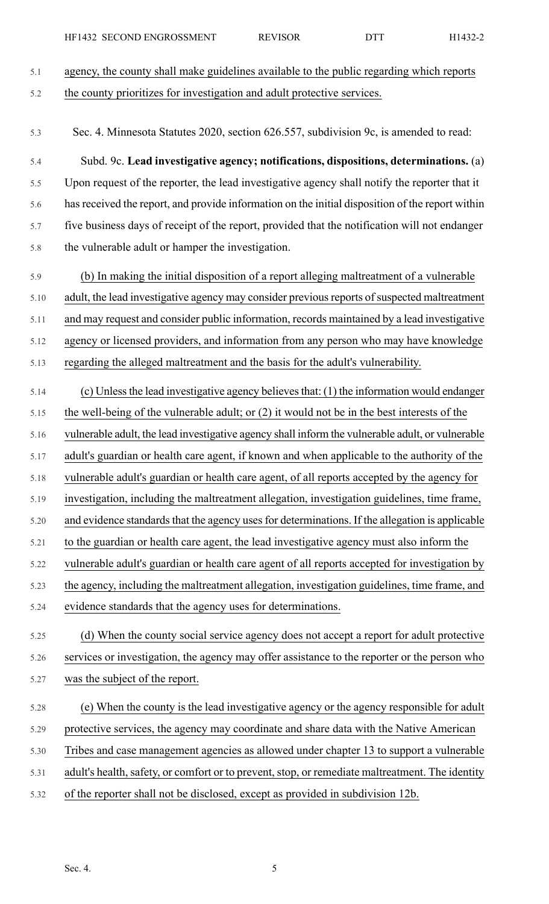5.1 agency, the county shall make guidelines available to the public regarding which reports 5.2 the county prioritizes for investigation and adult protective services. 5.3 Sec. 4. Minnesota Statutes 2020, section 626.557, subdivision 9c, is amended to read: 5.4 Subd. 9c. **Lead investigative agency; notifications, dispositions, determinations.** (a) 5.5 Upon request of the reporter, the lead investigative agency shall notify the reporter that it 5.6 hasreceived the report, and provide information on the initial disposition of the report within 5.7 five business days of receipt of the report, provided that the notification will not endanger 5.8 the vulnerable adult or hamper the investigation. 5.9 (b) In making the initial disposition of a report alleging maltreatment of a vulnerable 5.10 adult, the lead investigative agency may consider previous reports of suspected maltreatment 5.11 and may request and consider public information, records maintained by a lead investigative 5.12 agency or licensed providers, and information from any person who may have knowledge 5.13 regarding the alleged maltreatment and the basis for the adult's vulnerability. 5.14 (c) Unlessthe lead investigative agency believesthat: (1) the information would endanger 5.15 the well-being of the vulnerable adult; or (2) it would not be in the best interests of the 5.16 vulnerable adult, the lead investigative agency shall inform the vulnerable adult, or vulnerable 5.17 adult's guardian or health care agent, if known and when applicable to the authority of the 5.18 vulnerable adult's guardian or health care agent, of all reports accepted by the agency for 5.19 investigation, including the maltreatment allegation, investigation guidelines, time frame, 5.20 and evidence standards that the agency uses for determinations. If the allegation is applicable 5.21 to the guardian or health care agent, the lead investigative agency must also inform the 5.22 vulnerable adult's guardian or health care agent of all reports accepted for investigation by 5.23 the agency, including the maltreatment allegation, investigation guidelines, time frame, and 5.24 evidence standards that the agency uses for determinations. 5.25 (d) When the county social service agency does not accept a report for adult protective 5.26 services or investigation, the agency may offer assistance to the reporter or the person who 5.27 was the subject of the report. 5.28 (e) When the county is the lead investigative agency or the agency responsible for adult 5.29 protective services, the agency may coordinate and share data with the Native American 5.30 Tribes and case management agencies as allowed under chapter 13 to support a vulnerable 5.31 adult's health, safety, or comfort or to prevent, stop, or remediate maltreatment. The identity 5.32 of the reporter shall not be disclosed, except as provided in subdivision 12b.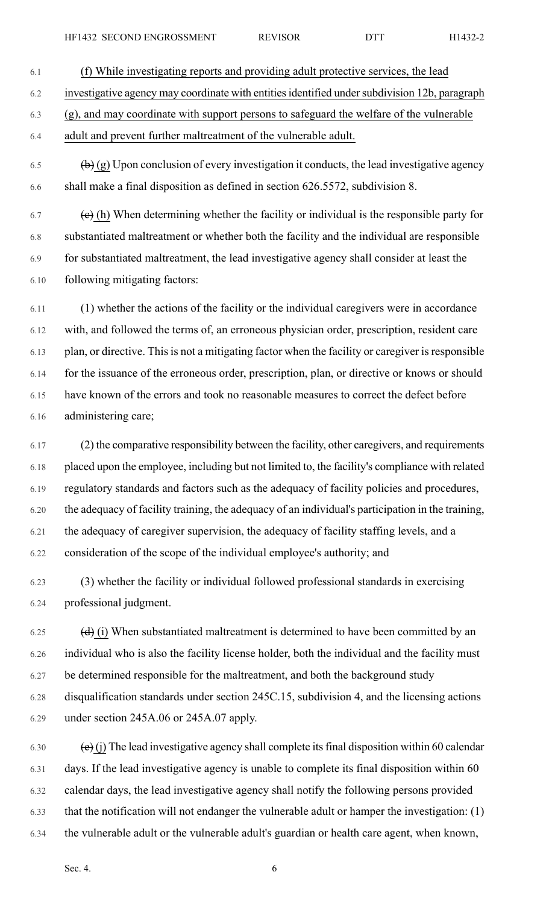- 6.1 (f) While investigating reports and providing adult protective services, the lead 6.2 investigative agency may coordinate with entitiesidentified undersubdivision 12b, paragraph 6.3 (g), and may coordinate with support persons to safeguard the welfare of the vulnerable 6.4 adult and prevent further maltreatment of the vulnerable adult.
- 6.5  $\left(\frac{b}{c}\right)$  (g) Upon conclusion of every investigation it conducts, the lead investigative agency 6.6 shall make a final disposition as defined in section 626.5572, subdivision 8.

 $\left(\frac{1}{\epsilon}\right)$  (h) When determining whether the facility or individual is the responsible party for 6.8 substantiated maltreatment or whether both the facility and the individual are responsible 6.9 for substantiated maltreatment, the lead investigative agency shall consider at least the 6.10 following mitigating factors:

6.11 (1) whether the actions of the facility or the individual caregivers were in accordance 6.12 with, and followed the terms of, an erroneous physician order, prescription, resident care 6.13 plan, or directive. This is not a mitigating factor when the facility or caregiver is responsible 6.14 for the issuance of the erroneous order, prescription, plan, or directive or knows or should 6.15 have known of the errors and took no reasonable measures to correct the defect before 6.16 administering care;

6.17 (2) the comparative responsibility between the facility, other caregivers, and requirements 6.18 placed upon the employee, including but not limited to, the facility's compliance with related 6.19 regulatory standards and factors such as the adequacy of facility policies and procedures, 6.20 the adequacy of facility training, the adequacy of an individual's participation in the training, 6.21 the adequacy of caregiver supervision, the adequacy of facility staffing levels, and a 6.22 consideration of the scope of the individual employee's authority; and

6.23 (3) whether the facility or individual followed professional standards in exercising 6.24 professional judgment.

6.25  $(d)$  (i) When substantiated maltreatment is determined to have been committed by an 6.26 individual who is also the facility license holder, both the individual and the facility must 6.27 be determined responsible for the maltreatment, and both the background study 6.28 disqualification standards under section 245C.15, subdivision 4, and the licensing actions 6.29 under section 245A.06 or 245A.07 apply.

6.30 (e) (j) The lead investigative agency shall complete its final disposition within 60 calendar 6.31 days. If the lead investigative agency is unable to complete its final disposition within 60 6.32 calendar days, the lead investigative agency shall notify the following persons provided 6.33 that the notification will not endanger the vulnerable adult or hamper the investigation: (1) 6.34 the vulnerable adult or the vulnerable adult's guardian or health care agent, when known,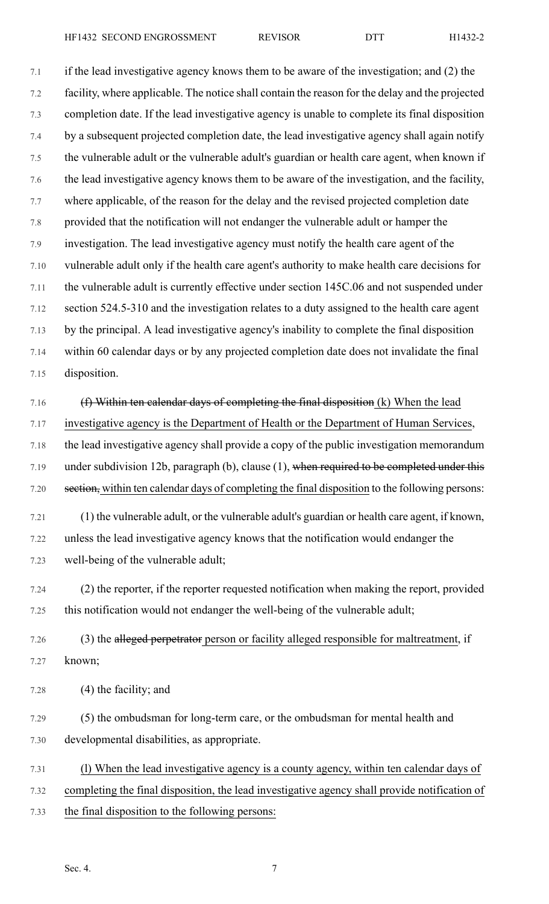7.1 if the lead investigative agency knows them to be aware of the investigation; and (2) the 7.2 facility, where applicable. The notice shall contain the reason for the delay and the projected 7.3 completion date. If the lead investigative agency is unable to complete its final disposition 7.4 by a subsequent projected completion date, the lead investigative agency shall again notify 7.5 the vulnerable adult or the vulnerable adult's guardian or health care agent, when known if 7.6 the lead investigative agency knows them to be aware of the investigation, and the facility, 7.7 where applicable, of the reason for the delay and the revised projected completion date 7.8 provided that the notification will not endanger the vulnerable adult or hamper the 7.9 investigation. The lead investigative agency must notify the health care agent of the 7.10 vulnerable adult only if the health care agent's authority to make health care decisions for 7.11 the vulnerable adult is currently effective under section 145C.06 and not suspended under 7.12 section 524.5-310 and the investigation relates to a duty assigned to the health care agent 7.13 by the principal. A lead investigative agency's inability to complete the final disposition 7.14 within 60 calendar days or by any projected completion date does not invalidate the final 7.15 disposition.

7.16  $(f)$  Within ten calendar days of completing the final disposition (k) When the lead 7.17 investigative agency is the Department of Health or the Department of Human Services, 7.18 the lead investigative agency shall provide a copy of the public investigation memorandum 7.19 under subdivision 12b, paragraph  $(b)$ , clause  $(1)$ , when required to be completed under this 7.20 section, within ten calendar days of completing the final disposition to the following persons:

7.21 (1) the vulnerable adult, or the vulnerable adult's guardian or health care agent, if known, 7.22 unless the lead investigative agency knows that the notification would endanger the 7.23 well-being of the vulnerable adult;

7.24 (2) the reporter, if the reporter requested notification when making the report, provided 7.25 this notification would not endanger the well-being of the vulnerable adult;

7.26 (3) the alleged perpetrator person or facility alleged responsible for maltreatment, if 7.27 known;

- 7.28 (4) the facility; and
- 7.29 (5) the ombudsman for long-term care, or the ombudsman for mental health and 7.30 developmental disabilities, as appropriate.
- 7.31 (l) When the lead investigative agency is a county agency, within ten calendar days of 7.32 completing the final disposition, the lead investigative agency shall provide notification of 7.33 the final disposition to the following persons: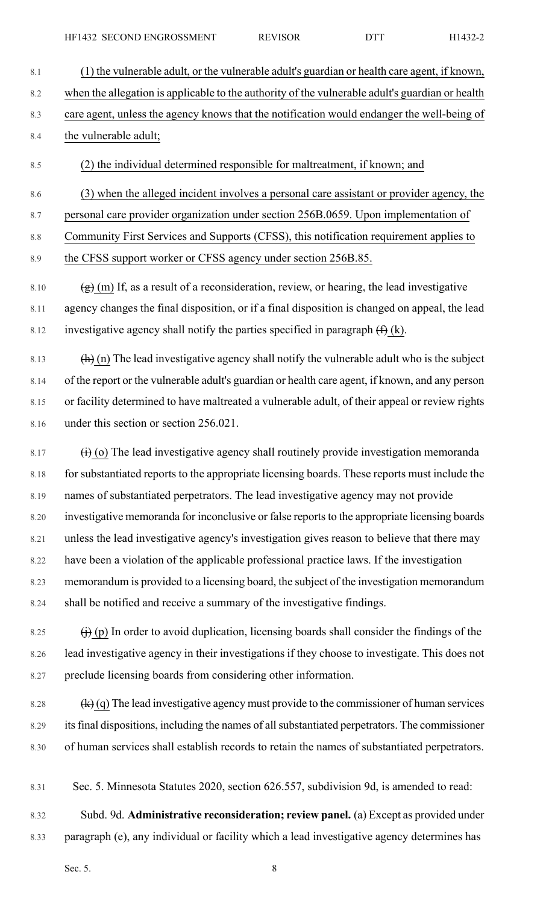- 8.1 (1) the vulnerable adult, or the vulnerable adult's guardian or health care agent, if known, 8.2 when the allegation is applicable to the authority of the vulnerable adult's guardian or health 8.3 care agent, unless the agency knows that the notification would endanger the well-being of 8.4 the vulnerable adult;
- 8.5 (2) the individual determined responsible for maltreatment, if known; and
- 8.6 (3) when the alleged incident involves a personal care assistant or provider agency, the
- 8.7 personal care provider organization under section 256B.0659. Upon implementation of
- 8.8 Community First Services and Supports (CFSS), this notification requirement applies to

8.9 the CFSS support worker or CFSS agency under section 256B.85.

- 8.10  $\left(\frac{g}{g}\right)$  (m) If, as a result of a reconsideration, review, or hearing, the lead investigative 8.11 agency changes the final disposition, or if a final disposition is changed on appeal, the lead 8.12 investigative agency shall notify the parties specified in paragraph  $(f)$  (k).
- 8.13  $(h)$  (n) The lead investigative agency shall notify the vulnerable adult who is the subject 8.14 of the report or the vulnerable adult's guardian or health care agent, if known, and any person 8.15 or facility determined to have maltreated a vulnerable adult, of their appeal or review rights 8.16 under this section or section 256.021.
- 8.17  $\left(i\right)$  (o) The lead investigative agency shall routinely provide investigation memoranda 8.18 for substantiated reports to the appropriate licensing boards. These reports must include the 8.19 names of substantiated perpetrators. The lead investigative agency may not provide 8.20 investigative memoranda for inconclusive or false reports to the appropriate licensing boards 8.21 unless the lead investigative agency's investigation gives reason to believe that there may 8.22 have been a violation of the applicable professional practice laws. If the investigation 8.23 memorandum is provided to a licensing board, the subject of the investigation memorandum 8.24 shall be notified and receive a summary of the investigative findings.
- 8.25  $\qquad \qquad (j)$  (p) In order to avoid duplication, licensing boards shall consider the findings of the 8.26 lead investigative agency in their investigations if they choose to investigate. This does not 8.27 preclude licensing boards from considering other information.
- 8.28  $(k)(q)$  The lead investigative agency must provide to the commissioner of human services 8.29 its final dispositions, including the names of all substantiated perpetrators. The commissioner 8.30 of human services shall establish records to retain the names of substantiated perpetrators.
- 8.31 Sec. 5. Minnesota Statutes 2020, section 626.557, subdivision 9d, is amended to read:
- 8.32 Subd. 9d. **Administrative reconsideration; review panel.** (a) Except as provided under 8.33 paragraph (e), any individual or facility which a lead investigative agency determines has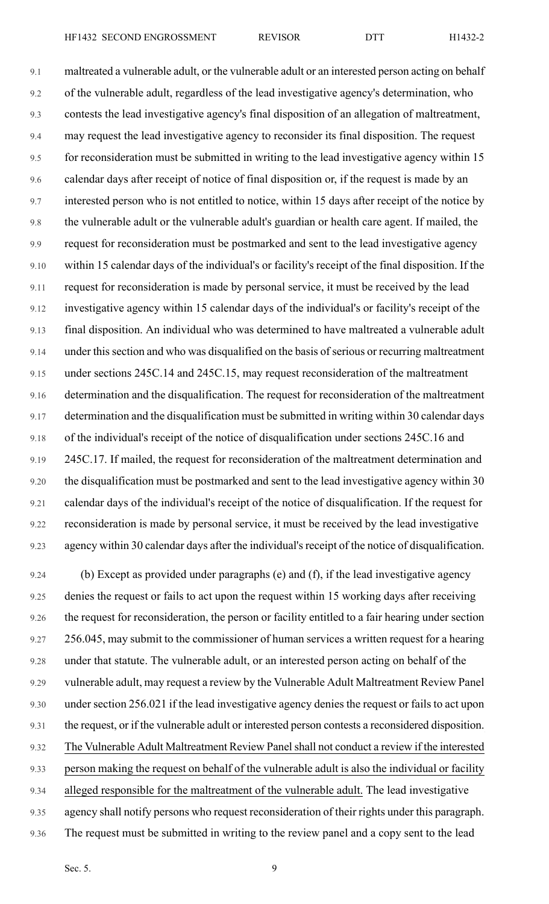9.1 maltreated a vulnerable adult, or the vulnerable adult or an interested person acting on behalf 9.2 of the vulnerable adult, regardless of the lead investigative agency's determination, who 9.3 contests the lead investigative agency's final disposition of an allegation of maltreatment, 9.4 may request the lead investigative agency to reconsider its final disposition. The request 9.5 for reconsideration must be submitted in writing to the lead investigative agency within 15 9.6 calendar days after receipt of notice of final disposition or, if the request is made by an 9.7 interested person who is not entitled to notice, within 15 days after receipt of the notice by 9.8 the vulnerable adult or the vulnerable adult's guardian or health care agent. If mailed, the 9.9 request for reconsideration must be postmarked and sent to the lead investigative agency 9.10 within 15 calendar days of the individual's or facility's receipt of the final disposition. If the 9.11 request for reconsideration is made by personal service, it must be received by the lead 9.12 investigative agency within 15 calendar days of the individual's or facility's receipt of the 9.13 final disposition. An individual who was determined to have maltreated a vulnerable adult 9.14 under this section and who was disqualified on the basis of serious or recurring maltreatment 9.15 under sections 245C.14 and 245C.15, may request reconsideration of the maltreatment 9.16 determination and the disqualification. The request for reconsideration of the maltreatment 9.17 determination and the disqualification must be submitted in writing within 30 calendar days 9.18 of the individual's receipt of the notice of disqualification under sections 245C.16 and 9.19 245C.17. If mailed, the request for reconsideration of the maltreatment determination and 9.20 the disqualification must be postmarked and sent to the lead investigative agency within 30 9.21 calendar days of the individual's receipt of the notice of disqualification. If the request for 9.22 reconsideration is made by personal service, it must be received by the lead investigative 9.23 agency within 30 calendar days after the individual's receipt of the notice of disqualification.

9.24 (b) Except as provided under paragraphs (e) and (f), if the lead investigative agency 9.25 denies the request or fails to act upon the request within 15 working days after receiving 9.26 the request for reconsideration, the person or facility entitled to a fair hearing under section 9.27 256.045, may submit to the commissioner of human services a written request for a hearing 9.28 under that statute. The vulnerable adult, or an interested person acting on behalf of the 9.29 vulnerable adult, may request a review by the Vulnerable Adult Maltreatment Review Panel 9.30 under section 256.021 if the lead investigative agency denies the request or fails to act upon 9.31 the request, or if the vulnerable adult or interested person contests a reconsidered disposition. 9.32 The Vulnerable Adult Maltreatment Review Panelshall not conduct a review if the interested 9.33 person making the request on behalf of the vulnerable adult is also the individual or facility 9.34 alleged responsible for the maltreatment of the vulnerable adult. The lead investigative 9.35 agency shall notify persons who request reconsideration of their rights under this paragraph. 9.36 The request must be submitted in writing to the review panel and a copy sent to the lead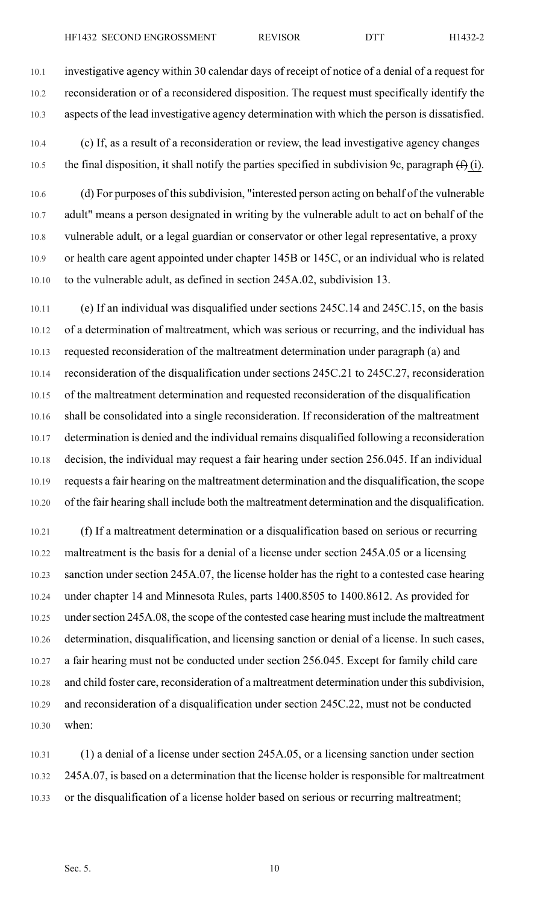10.1 investigative agency within 30 calendar days of receipt of notice of a denial of a request for 10.2 reconsideration or of a reconsidered disposition. The request must specifically identify the 10.3 aspects of the lead investigative agency determination with which the person is dissatisfied.

10.4 (c) If, as a result of a reconsideration or review, the lead investigative agency changes 10.5 the final disposition, it shall notify the parties specified in subdivision 9c, paragraph  $(f)$  (i).

10.6 (d) For purposes of this subdivision, "interested person acting on behalf of the vulnerable 10.7 adult" means a person designated in writing by the vulnerable adult to act on behalf of the 10.8 vulnerable adult, or a legal guardian or conservator or other legal representative, a proxy 10.9 or health care agent appointed under chapter 145B or 145C, or an individual who is related 10.10 to the vulnerable adult, as defined in section 245A.02, subdivision 13.

10.11 (e) If an individual was disqualified under sections 245C.14 and 245C.15, on the basis 10.12 of a determination of maltreatment, which was serious or recurring, and the individual has 10.13 requested reconsideration of the maltreatment determination under paragraph (a) and 10.14 reconsideration of the disqualification under sections 245C.21 to 245C.27, reconsideration 10.15 of the maltreatment determination and requested reconsideration of the disqualification 10.16 shall be consolidated into a single reconsideration. If reconsideration of the maltreatment 10.17 determination is denied and the individual remains disqualified following a reconsideration 10.18 decision, the individual may request a fair hearing under section 256.045. If an individual 10.19 requests a fair hearing on the maltreatment determination and the disqualification, the scope 10.20 of the fair hearing shall include both the maltreatment determination and the disqualification.

10.21 (f) If a maltreatment determination or a disqualification based on serious or recurring 10.22 maltreatment is the basis for a denial of a license under section 245A.05 or a licensing 10.23 sanction under section 245A.07, the license holder has the right to a contested case hearing 10.24 under chapter 14 and Minnesota Rules, parts 1400.8505 to 1400.8612. As provided for 10.25 under section 245A.08, the scope of the contested case hearing must include the maltreatment 10.26 determination, disqualification, and licensing sanction or denial of a license. In such cases, 10.27 a fair hearing must not be conducted under section 256.045. Except for family child care 10.28 and child foster care, reconsideration of a maltreatment determination under this subdivision, 10.29 and reconsideration of a disqualification under section 245C.22, must not be conducted 10.30 when:

10.31 (1) a denial of a license under section 245A.05, or a licensing sanction under section 10.32 245A.07, is based on a determination that the license holder is responsible for maltreatment 10.33 or the disqualification of a license holder based on serious or recurring maltreatment;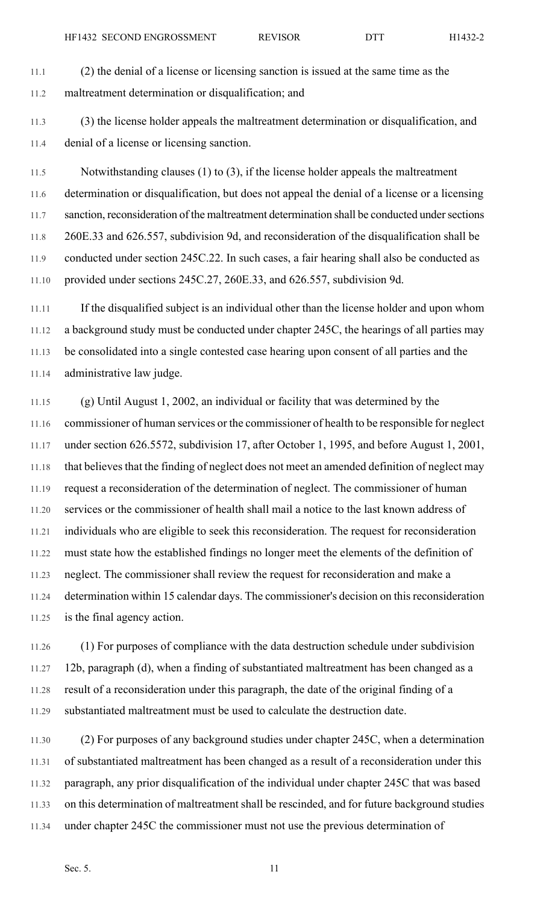- 11.1 (2) the denial of a license or licensing sanction is issued at the same time as the 11.2 maltreatment determination or disqualification; and
- 11.3 (3) the license holder appeals the maltreatment determination or disqualification, and 11.4 denial of a license or licensing sanction.

11.5 Notwithstanding clauses (1) to (3), if the license holder appeals the maltreatment 11.6 determination or disqualification, but does not appeal the denial of a license or a licensing 11.7 sanction, reconsideration of the maltreatment determination shall be conducted under sections 11.8 260E.33 and 626.557, subdivision 9d, and reconsideration of the disqualification shall be 11.9 conducted under section 245C.22. In such cases, a fair hearing shall also be conducted as 11.10 provided under sections 245C.27, 260E.33, and 626.557, subdivision 9d.

11.11 If the disqualified subject is an individual other than the license holder and upon whom 11.12 a background study must be conducted under chapter 245C, the hearings of all parties may 11.13 be consolidated into a single contested case hearing upon consent of all parties and the 11.14 administrative law judge.

11.15 (g) Until August 1, 2002, an individual or facility that was determined by the 11.16 commissioner of human services or the commissioner of health to be responsible for neglect 11.17 under section 626.5572, subdivision 17, after October 1, 1995, and before August 1, 2001, 11.18 that believes that the finding of neglect does not meet an amended definition of neglect may 11.19 request a reconsideration of the determination of neglect. The commissioner of human 11.20 services or the commissioner of health shall mail a notice to the last known address of 11.21 individuals who are eligible to seek this reconsideration. The request for reconsideration 11.22 must state how the established findings no longer meet the elements of the definition of 11.23 neglect. The commissioner shall review the request for reconsideration and make a 11.24 determination within 15 calendar days. The commissioner's decision on this reconsideration 11.25 is the final agency action.

11.26 (1) For purposes of compliance with the data destruction schedule under subdivision 11.27 12b, paragraph (d), when a finding of substantiated maltreatment has been changed as a 11.28 result of a reconsideration under this paragraph, the date of the original finding of a 11.29 substantiated maltreatment must be used to calculate the destruction date.

11.30 (2) For purposes of any background studies under chapter 245C, when a determination 11.31 of substantiated maltreatment has been changed as a result of a reconsideration under this 11.32 paragraph, any prior disqualification of the individual under chapter 245C that was based 11.33 on this determination of maltreatment shall be rescinded, and for future background studies 11.34 under chapter 245C the commissioner must not use the previous determination of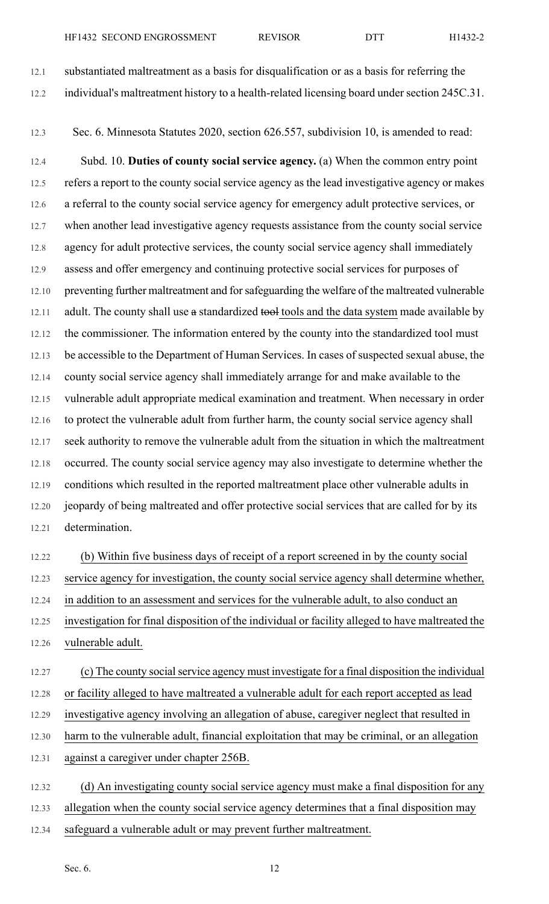12.1 substantiated maltreatment as a basis for disqualification or as a basis for referring the 12.2 individual's maltreatment history to a health-related licensing board under section 245C.31.

12.3 Sec. 6. Minnesota Statutes 2020, section 626.557, subdivision 10, is amended to read:

12.4 Subd. 10. **Duties of county social service agency.** (a) When the common entry point 12.5 refers a report to the county social service agency as the lead investigative agency or makes 12.6 a referral to the county social service agency for emergency adult protective services, or 12.7 when another lead investigative agency requests assistance from the county social service 12.8 agency for adult protective services, the county social service agency shall immediately 12.9 assess and offer emergency and continuing protective social services for purposes of 12.10 preventing further maltreatment and for safeguarding the welfare of the maltreated vulnerable 12.11 adult. The county shall use a standardized tools and the data system made available by 12.12 the commissioner. The information entered by the county into the standardized tool must 12.13 be accessible to the Department of Human Services. In cases of suspected sexual abuse, the 12.14 county social service agency shall immediately arrange for and make available to the 12.15 vulnerable adult appropriate medical examination and treatment. When necessary in order 12.16 to protect the vulnerable adult from further harm, the county social service agency shall 12.17 seek authority to remove the vulnerable adult from the situation in which the maltreatment 12.18 occurred. The county social service agency may also investigate to determine whether the 12.19 conditions which resulted in the reported maltreatment place other vulnerable adults in 12.20 jeopardy of being maltreated and offer protective social services that are called for by its 12.21 determination.

12.22 (b) Within five business days of receipt of a report screened in by the county social 12.23 service agency for investigation, the county social service agency shall determine whether, 12.24 in addition to an assessment and services for the vulnerable adult, to also conduct an 12.25 investigation for final disposition of the individual or facility alleged to have maltreated the 12.26 vulnerable adult.

12.27 (c) The county social service agency must investigate for a final disposition the individual 12.28 or facility alleged to have maltreated a vulnerable adult for each report accepted as lead 12.29 investigative agency involving an allegation of abuse, caregiver neglect that resulted in 12.30 harm to the vulnerable adult, financial exploitation that may be criminal, or an allegation 12.31 against a caregiver under chapter 256B.

12.32 (d) An investigating county social service agency must make a final disposition for any 12.33 allegation when the county social service agency determines that a final disposition may 12.34 safeguard a vulnerable adult or may prevent further maltreatment.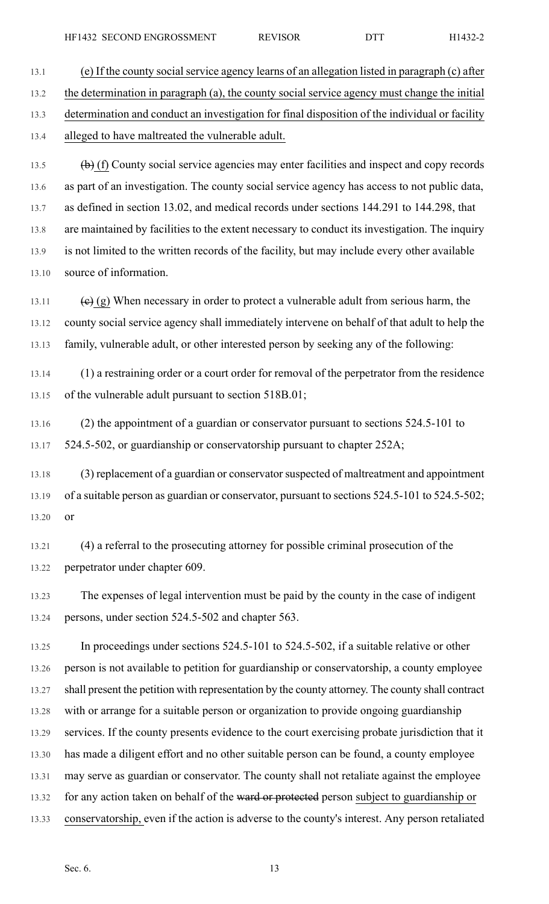13.1 (e) If the county social service agency learns of an allegation listed in paragraph (c) after 13.2 the determination in paragraph (a), the county social service agency must change the initial 13.3 determination and conduct an investigation for final disposition of the individual or facility 13.4 alleged to have maltreated the vulnerable adult.

13.5  $(b)$  (f) County social service agencies may enter facilities and inspect and copy records 13.6 as part of an investigation. The county social service agency has access to not public data, 13.7 as defined in section 13.02, and medical records under sections 144.291 to 144.298, that 13.8 are maintained by facilities to the extent necessary to conduct its investigation. The inquiry 13.9 is not limited to the written records of the facility, but may include every other available 13.10 source of information.

13.11 (e) (g) When necessary in order to protect a vulnerable adult from serious harm, the 13.12 county social service agency shall immediately intervene on behalf of that adult to help the 13.13 family, vulnerable adult, or other interested person by seeking any of the following:

13.14 (1) a restraining order or a court order for removal of the perpetrator from the residence 13.15 of the vulnerable adult pursuant to section 518B.01;

13.16 (2) the appointment of a guardian or conservator pursuant to sections 524.5-101 to 13.17 524.5-502, or guardianship or conservatorship pursuant to chapter 252A;

13.18 (3) replacement of a guardian or conservator suspected of maltreatment and appointment 13.19 of a suitable person as guardian or conservator, pursuant to sections 524.5-101 to 524.5-502; 13.20 or

13.21 (4) a referral to the prosecuting attorney for possible criminal prosecution of the 13.22 perpetrator under chapter 609.

13.23 The expenses of legal intervention must be paid by the county in the case of indigent 13.24 persons, under section 524.5-502 and chapter 563.

13.25 In proceedings under sections 524.5-101 to 524.5-502, if a suitable relative or other 13.26 person is not available to petition for guardianship or conservatorship, a county employee 13.27 shall present the petition with representation by the county attorney. The county shall contract 13.28 with or arrange for a suitable person or organization to provide ongoing guardianship 13.29 services. If the county presents evidence to the court exercising probate jurisdiction that it 13.30 has made a diligent effort and no other suitable person can be found, a county employee 13.31 may serve as guardian or conservator. The county shall not retaliate against the employee 13.32 for any action taken on behalf of the ward or protected person subject to guardianship or 13.33 conservatorship, even if the action is adverse to the county's interest. Any person retaliated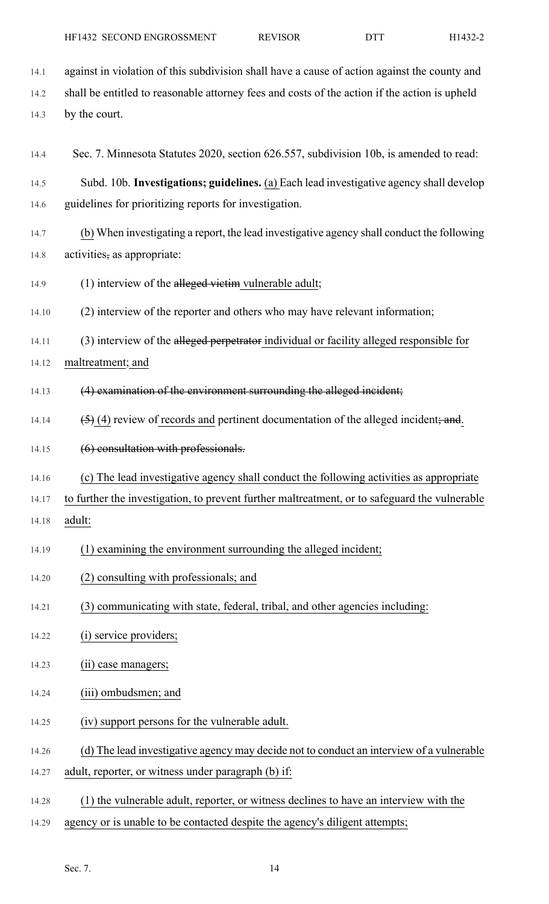- 14.1 against in violation of this subdivision shall have a cause of action against the county and 14.2 shall be entitled to reasonable attorney fees and costs of the action if the action is upheld 14.3 by the court. 14.4 Sec. 7. Minnesota Statutes 2020, section 626.557, subdivision 10b, is amended to read: 14.5 Subd. 10b. **Investigations; guidelines.** (a) Each lead investigative agency shall develop 14.6 guidelines for prioritizing reports for investigation. 14.7 (b) When investigating a report, the lead investigative agency shall conduct the following 14.8 activities, as appropriate: 14.9 (1) interview of the alleged victim vulnerable adult; 14.10 (2) interview of the reporter and others who may have relevant information; 14.11 (3) interview of the alleged perpetrator individual or facility alleged responsible for 14.12 maltreatment; and 14.13 (4) examination of the environment surrounding the alleged incident; 14.14  $(5)$  (4) review of records and pertinent documentation of the alleged incident; and. 14.15 (6) consultation with professionals. 14.16 (c) The lead investigative agency shall conduct the following activities as appropriate 14.17 to further the investigation, to prevent further maltreatment, or to safeguard the vulnerable 14.18 adult: HF1432 SECOND ENGROSSMENT REVISOR DTT H1432-2
- 14.19 (1) examining the environment surrounding the alleged incident;
- 14.20 (2) consulting with professionals; and
- 14.21 (3) communicating with state, federal, tribal, and other agencies including:
- 14.22 (i) service providers;
- 14.23 (ii) case managers;
- 14.24 (iii) ombudsmen; and
- 14.25 (iv) support persons for the vulnerable adult.
- 14.26 (d) The lead investigative agency may decide not to conduct an interview of a vulnerable
- 14.27 adult, reporter, or witness under paragraph (b) if:
- 14.28 (1) the vulnerable adult, reporter, or witness declines to have an interview with the
- 14.29 agency or is unable to be contacted despite the agency's diligent attempts;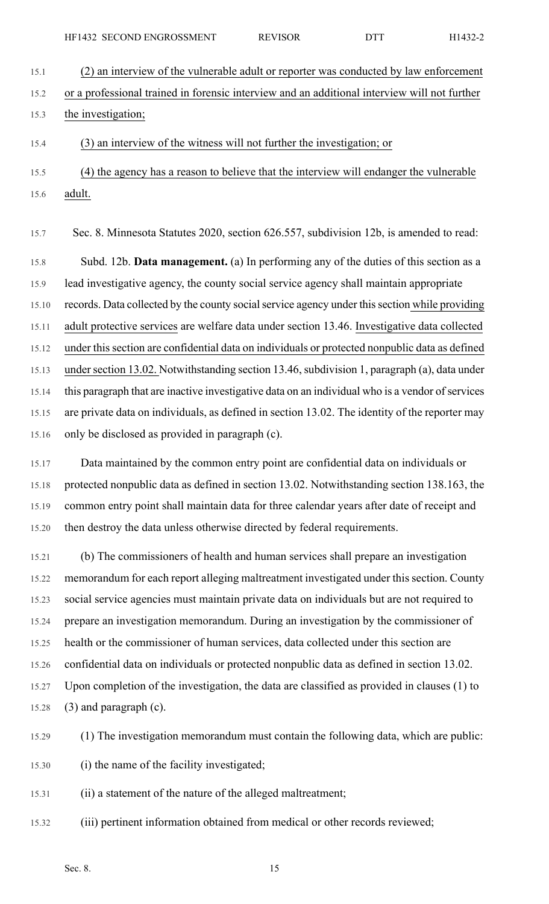15.1 (2) an interview of the vulnerable adult or reporter was conducted by law enforcement 15.2 or a professional trained in forensic interview and an additional interview will not further 15.3 the investigation;

15.4 (3) an interview of the witness will not further the investigation; or

- 15.5 (4) the agency has a reason to believe that the interview will endanger the vulnerable
- 15.6 adult.

15.7 Sec. 8. Minnesota Statutes 2020, section 626.557, subdivision 12b, is amended to read:

15.8 Subd. 12b. **Data management.** (a) In performing any of the duties of this section as a 15.9 lead investigative agency, the county social service agency shall maintain appropriate 15.10 records. Data collected by the county social service agency under this section while providing 15.11 adult protective services are welfare data under section 13.46. Investigative data collected 15.12 under this section are confidential data on individuals or protected nonpublic data as defined 15.13 under section 13.02. Notwithstanding section 13.46, subdivision 1, paragraph (a), data under 15.14 this paragraph that are inactive investigative data on an individual who is a vendor of services 15.15 are private data on individuals, as defined in section 13.02. The identity of the reporter may 15.16 only be disclosed as provided in paragraph (c).

15.17 Data maintained by the common entry point are confidential data on individuals or 15.18 protected nonpublic data as defined in section 13.02. Notwithstanding section 138.163, the 15.19 common entry point shall maintain data for three calendar years after date of receipt and 15.20 then destroy the data unless otherwise directed by federal requirements.

15.21 (b) The commissioners of health and human services shall prepare an investigation 15.22 memorandum for each report alleging maltreatment investigated under this section. County 15.23 social service agencies must maintain private data on individuals but are not required to 15.24 prepare an investigation memorandum. During an investigation by the commissioner of 15.25 health or the commissioner of human services, data collected under this section are 15.26 confidential data on individuals or protected nonpublic data as defined in section 13.02. 15.27 Upon completion of the investigation, the data are classified as provided in clauses (1) to 15.28  $(3)$  and paragraph (c).

15.29 (1) The investigation memorandum must contain the following data, which are public:

15.30 (i) the name of the facility investigated;

15.31 (ii) a statement of the nature of the alleged maltreatment;

15.32 (iii) pertinent information obtained from medical or other records reviewed;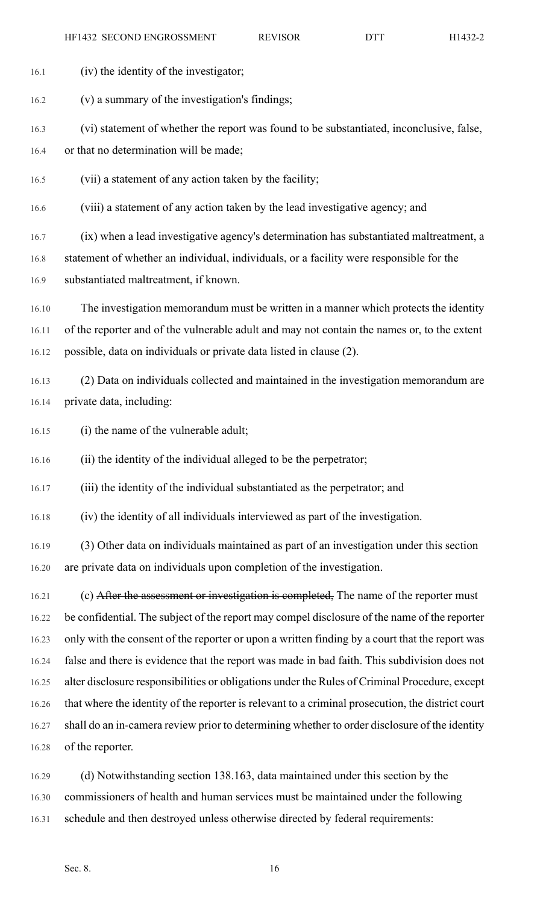| 16.1  | (iv) the identity of the investigator;                                                            |
|-------|---------------------------------------------------------------------------------------------------|
| 16.2  | (v) a summary of the investigation's findings;                                                    |
| 16.3  | (vi) statement of whether the report was found to be substantiated, inconclusive, false,          |
| 16.4  | or that no determination will be made;                                                            |
| 16.5  | (vii) a statement of any action taken by the facility;                                            |
| 16.6  | (viii) a statement of any action taken by the lead investigative agency; and                      |
| 16.7  | (ix) when a lead investigative agency's determination has substantiated maltreatment, a           |
| 16.8  | statement of whether an individual, individuals, or a facility were responsible for the           |
| 16.9  | substantiated maltreatment, if known.                                                             |
| 16.10 | The investigation memorandum must be written in a manner which protects the identity              |
| 16.11 | of the reporter and of the vulnerable adult and may not contain the names or, to the extent       |
| 16.12 | possible, data on individuals or private data listed in clause (2).                               |
| 16.13 | (2) Data on individuals collected and maintained in the investigation memorandum are              |
| 16.14 | private data, including:                                                                          |
| 16.15 | (i) the name of the vulnerable adult;                                                             |
| 16.16 | (ii) the identity of the individual alleged to be the perpetrator;                                |
| 16.17 | (iii) the identity of the individual substantiated as the perpetrator; and                        |
| 16.18 | (iv) the identity of all individuals interviewed as part of the investigation.                    |
| 16.19 | (3) Other data on individuals maintained as part of an investigation under this section           |
| 16.20 | are private data on individuals upon completion of the investigation.                             |
| 16.21 | (c) After the assessment or investigation is completed, The name of the reporter must             |
| 16.22 | be confidential. The subject of the report may compel disclosure of the name of the reporter      |
| 16.23 | only with the consent of the reporter or upon a written finding by a court that the report was    |
| 16.24 | false and there is evidence that the report was made in bad faith. This subdivision does not      |
| 16.25 | alter disclosure responsibilities or obligations under the Rules of Criminal Procedure, except    |
| 16.26 | that where the identity of the reporter is relevant to a criminal prosecution, the district court |
| 16.27 | shall do an in-camera review prior to determining whether to order disclosure of the identity     |
| 16.28 | of the reporter.                                                                                  |
| 16.29 | (d) Notwithstanding section 138.163, data maintained under this section by the                    |
| 16.30 | commissioners of health and human services must be maintained under the following                 |

16.31 schedule and then destroyed unless otherwise directed by federal requirements: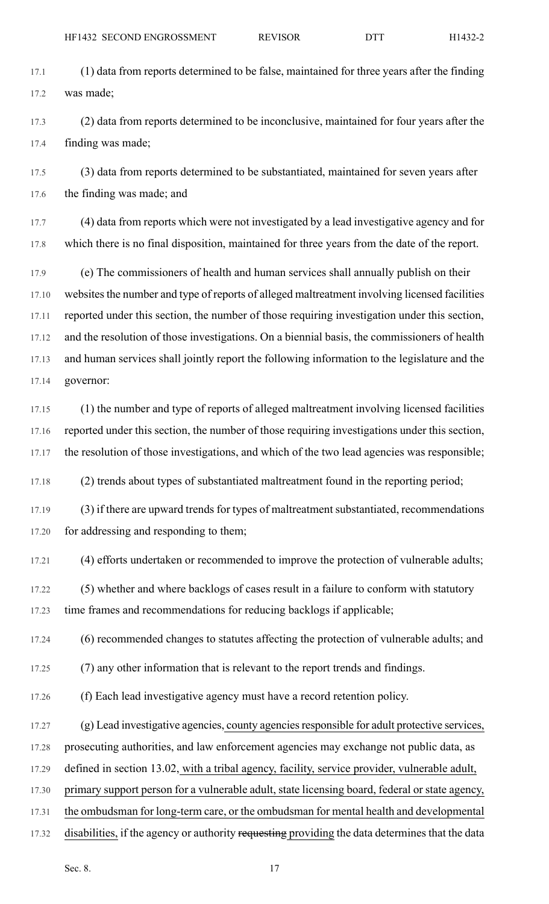- 17.1 (1) data from reports determined to be false, maintained for three years after the finding 17.2 was made;
- 17.3 (2) data from reports determined to be inconclusive, maintained for four years after the 17.4 finding was made;
- 17.5 (3) data from reports determined to be substantiated, maintained for seven years after 17.6 the finding was made; and
- 17.7 (4) data from reports which were not investigated by a lead investigative agency and for 17.8 which there is no final disposition, maintained for three years from the date of the report.
- 17.9 (e) The commissioners of health and human services shall annually publish on their 17.10 websites the number and type of reports of alleged maltreatment involving licensed facilities 17.11 reported under this section, the number of those requiring investigation under this section, 17.12 and the resolution of those investigations. On a biennial basis, the commissioners of health 17.13 and human services shall jointly report the following information to the legislature and the 17.14 governor:
- 17.15 (1) the number and type of reports of alleged maltreatment involving licensed facilities 17.16 reported under this section, the number of those requiring investigations under this section, 17.17 the resolution of those investigations, and which of the two lead agencies was responsible;
- 17.18 (2) trends about types of substantiated maltreatment found in the reporting period;
- 17.19 (3) if there are upward trends for types of maltreatment substantiated, recommendations 17.20 for addressing and responding to them;
- 17.21 (4) efforts undertaken or recommended to improve the protection of vulnerable adults;
- 17.22 (5) whether and where backlogs of cases result in a failure to conform with statutory 17.23 time frames and recommendations for reducing backlogs if applicable;
- 17.24 (6) recommended changes to statutes affecting the protection of vulnerable adults; and
- 17.25 (7) any other information that is relevant to the report trends and findings.
- 17.26 (f) Each lead investigative agency must have a record retention policy.
- 17.27 (g) Lead investigative agencies, county agencies responsible for adult protective services,
- 17.28 prosecuting authorities, and law enforcement agencies may exchange not public data, as
- 17.29 defined in section 13.02, with a tribal agency, facility, service provider, vulnerable adult,
- 17.30 primary support person for a vulnerable adult, state licensing board, federal or state agency,
- 17.31 the ombudsman for long-term care, or the ombudsman for mental health and developmental
- 17.32 disabilities, if the agency or authority requesting providing the data determines that the data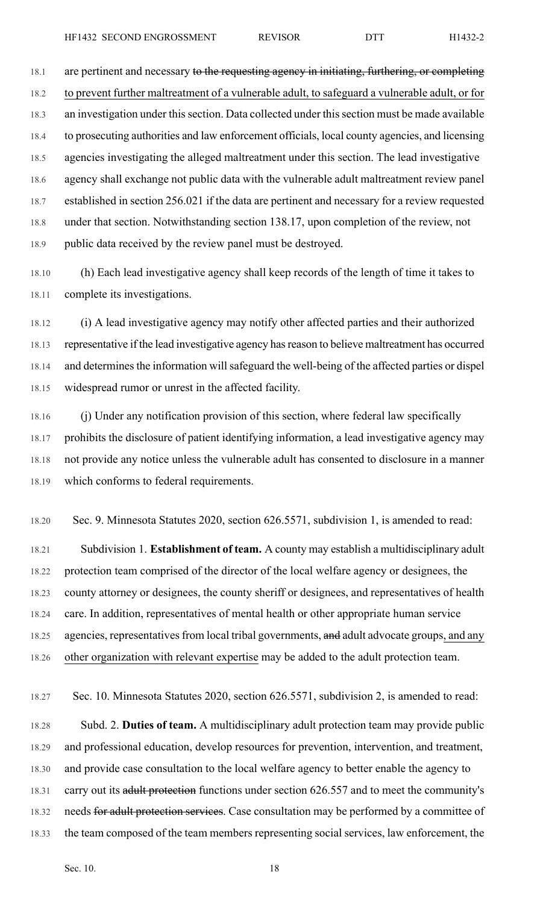18.1 are pertinent and necessary to the requesting agency in initiating, furthering, or completing 18.2 to prevent further maltreatment of a vulnerable adult, to safeguard a vulnerable adult, or for 18.3 an investigation under this section. Data collected under this section must be made available 18.4 to prosecuting authorities and law enforcement officials, local county agencies, and licensing 18.5 agencies investigating the alleged maltreatment under this section. The lead investigative 18.6 agency shall exchange not public data with the vulnerable adult maltreatment review panel 18.7 established in section 256.021 if the data are pertinent and necessary for a review requested 18.8 under that section. Notwithstanding section 138.17, upon completion of the review, not 18.9 public data received by the review panel must be destroyed.

18.10 (h) Each lead investigative agency shall keep records of the length of time it takes to 18.11 complete its investigations.

18.12 (i) A lead investigative agency may notify other affected parties and their authorized 18.13 representative if the lead investigative agency has reason to believe maltreatment has occurred 18.14 and determines the information will safeguard the well-being of the affected parties or dispel 18.15 widespread rumor or unrest in the affected facility.

18.16 (j) Under any notification provision of this section, where federal law specifically 18.17 prohibits the disclosure of patient identifying information, a lead investigative agency may 18.18 not provide any notice unless the vulnerable adult has consented to disclosure in a manner 18.19 which conforms to federal requirements.

18.20 Sec. 9. Minnesota Statutes 2020, section 626.5571, subdivision 1, is amended to read:

18.21 Subdivision 1. **Establishment of team.** A county may establish a multidisciplinary adult 18.22 protection team comprised of the director of the local welfare agency or designees, the 18.23 county attorney or designees, the county sheriff or designees, and representatives of health 18.24 care. In addition, representatives of mental health or other appropriate human service 18.25 agencies, representatives from local tribal governments, and adult advocate groups, and any 18.26 other organization with relevant expertise may be added to the adult protection team.

18.27 Sec. 10. Minnesota Statutes 2020, section 626.5571, subdivision 2, is amended to read:

18.28 Subd. 2. **Duties of team.** A multidisciplinary adult protection team may provide public 18.29 and professional education, develop resources for prevention, intervention, and treatment, 18.30 and provide case consultation to the local welfare agency to better enable the agency to 18.31 carry out its adult protection functions under section 626.557 and to meet the community's 18.32 needs for adult protection services. Case consultation may be performed by a committee of 18.33 the team composed of the team members representing social services, law enforcement, the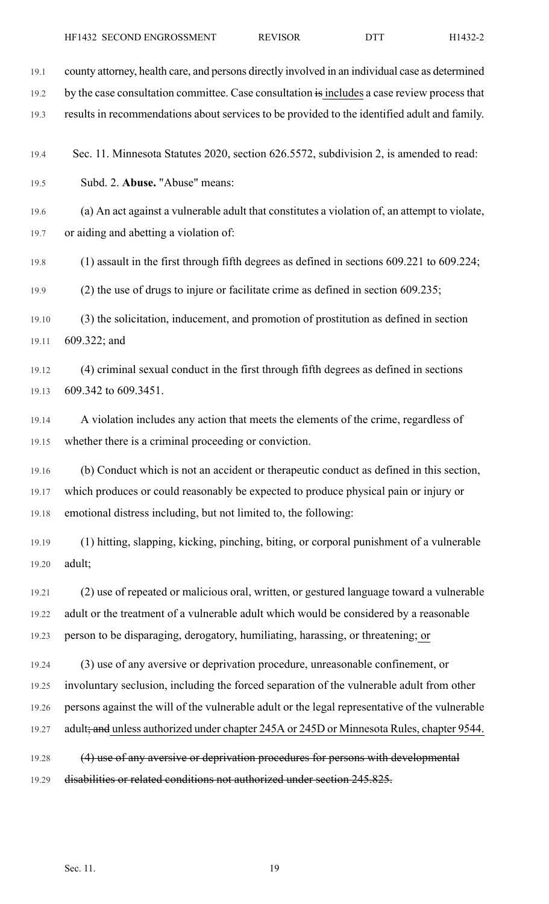| 19.1  | county attorney, health care, and persons directly involved in an individual case as determined |
|-------|-------------------------------------------------------------------------------------------------|
| 19.2  | by the case consultation committee. Case consultation is includes a case review process that    |
| 19.3  | results in recommendations about services to be provided to the identified adult and family.    |
| 19.4  | Sec. 11. Minnesota Statutes 2020, section 626.5572, subdivision 2, is amended to read:          |
| 19.5  | Subd. 2. Abuse. "Abuse" means:                                                                  |
| 19.6  | (a) An act against a vulnerable adult that constitutes a violation of, an attempt to violate,   |
| 19.7  | or aiding and abetting a violation of:                                                          |
| 19.8  | $(1)$ assault in the first through fifth degrees as defined in sections 609.221 to 609.224;     |
| 19.9  | $(2)$ the use of drugs to injure or facilitate crime as defined in section 609.235;             |
| 19.10 | (3) the solicitation, inducement, and promotion of prostitution as defined in section           |
| 19.11 | 609.322; and                                                                                    |
| 19.12 | (4) criminal sexual conduct in the first through fifth degrees as defined in sections           |
| 19.13 | 609.342 to 609.3451.                                                                            |
| 19.14 | A violation includes any action that meets the elements of the crime, regardless of             |
| 19.15 | whether there is a criminal proceeding or conviction.                                           |
| 19.16 | (b) Conduct which is not an accident or therapeutic conduct as defined in this section,         |
| 19.17 | which produces or could reasonably be expected to produce physical pain or injury or            |
| 19.18 | emotional distress including, but not limited to, the following:                                |
| 19.19 | (1) hitting, slapping, kicking, pinching, biting, or corporal punishment of a vulnerable        |
| 19.20 | adult;                                                                                          |
| 19.21 | (2) use of repeated or malicious oral, written, or gestured language toward a vulnerable        |
| 19.22 | adult or the treatment of a vulnerable adult which would be considered by a reasonable          |
| 19.23 | person to be disparaging, derogatory, humiliating, harassing, or threatening; or                |
| 19.24 | (3) use of any aversive or deprivation procedure, unreasonable confinement, or                  |
| 19.25 | involuntary seclusion, including the forced separation of the vulnerable adult from other       |
| 19.26 | persons against the will of the vulnerable adult or the legal representative of the vulnerable  |
| 19.27 | adult; and unless authorized under chapter 245A or 245D or Minnesota Rules, chapter 9544.       |
| 19.28 | (4) use of any aversive or deprivation procedures for persons with developmental                |
| 19.29 | disabilities or related conditions not authorized under section 245.825.                        |
|       |                                                                                                 |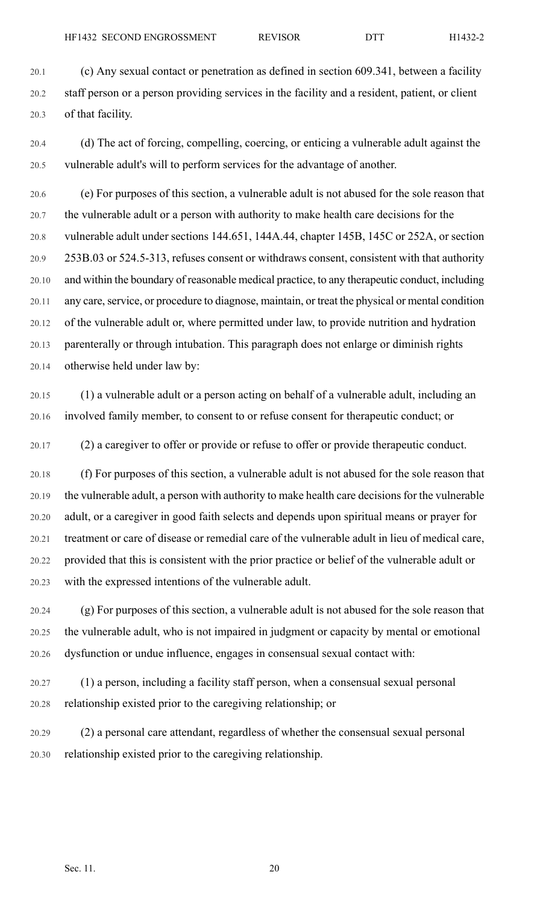20.1 (c) Any sexual contact or penetration as defined in section 609.341, between a facility 20.2 staff person or a person providing services in the facility and a resident, patient, or client 20.3 of that facility.

20.4 (d) The act of forcing, compelling, coercing, or enticing a vulnerable adult against the 20.5 vulnerable adult's will to perform services for the advantage of another.

20.6 (e) For purposes of this section, a vulnerable adult is not abused for the sole reason that 20.7 the vulnerable adult or a person with authority to make health care decisions for the 20.8 vulnerable adult under sections 144.651, 144A.44, chapter 145B, 145C or 252A, or section 20.9 253B.03 or 524.5-313, refuses consent or withdraws consent, consistent with that authority 20.10 and within the boundary of reasonable medical practice, to any therapeutic conduct, including 20.11 any care, service, or procedure to diagnose, maintain, or treat the physical or mental condition 20.12 of the vulnerable adult or, where permitted under law, to provide nutrition and hydration 20.13 parenterally or through intubation. This paragraph does not enlarge or diminish rights 20.14 otherwise held under law by:

20.15 (1) a vulnerable adult or a person acting on behalf of a vulnerable adult, including an 20.16 involved family member, to consent to or refuse consent for therapeutic conduct; or

20.17 (2) a caregiver to offer or provide or refuse to offer or provide therapeutic conduct.

20.18 (f) For purposes of this section, a vulnerable adult is not abused for the sole reason that 20.19 the vulnerable adult, a person with authority to make health care decisions for the vulnerable 20.20 adult, or a caregiver in good faith selects and depends upon spiritual means or prayer for 20.21 treatment or care of disease or remedial care of the vulnerable adult in lieu of medical care, 20.22 provided that this is consistent with the prior practice or belief of the vulnerable adult or 20.23 with the expressed intentions of the vulnerable adult.

20.24 (g) For purposes of this section, a vulnerable adult is not abused for the sole reason that 20.25 the vulnerable adult, who is not impaired in judgment or capacity by mental or emotional 20.26 dysfunction or undue influence, engages in consensual sexual contact with:

20.27 (1) a person, including a facility staff person, when a consensual sexual personal 20.28 relationship existed prior to the caregiving relationship; or

20.29 (2) a personal care attendant, regardless of whether the consensual sexual personal 20.30 relationship existed prior to the caregiving relationship.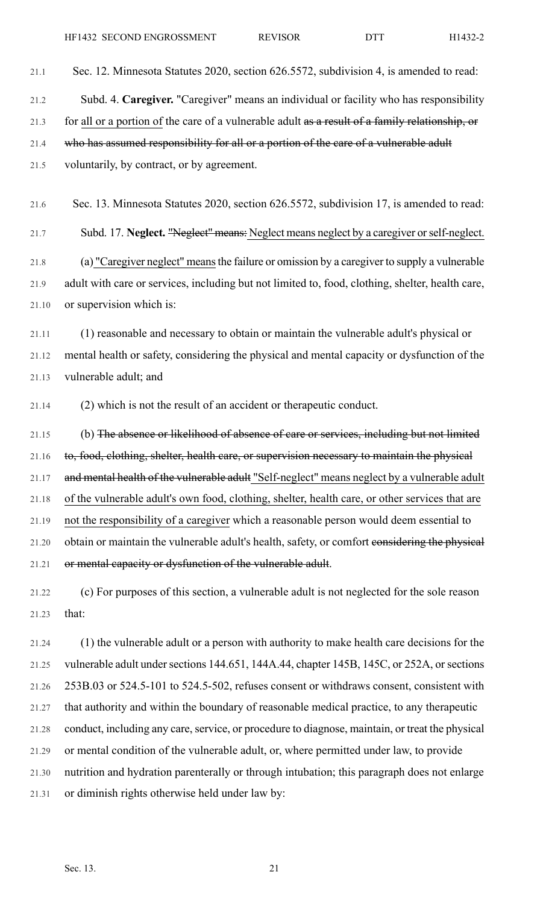- 21.1 Sec. 12. Minnesota Statutes 2020, section 626.5572, subdivision 4, is amended to read: 21.2 Subd. 4. **Caregiver.** "Caregiver" means an individual or facility who has responsibility 21.3 for all or a portion of the care of a vulnerable adult as a result of a family relationship, or
- 21.4 who has assumed responsibility for all or a portion of the care of a vulnerable adult

21.5 voluntarily, by contract, or by agreement.

21.6 Sec. 13. Minnesota Statutes 2020, section 626.5572, subdivision 17, is amended to read:

21.7 Subd. 17. **Neglect.** "Neglect" means: Neglect means neglect by a caregiver orself-neglect. 21.8 (a) "Caregiver neglect" meansthe failure or omission by a caregiver to supply a vulnerable 21.9 adult with care or services, including but not limited to, food, clothing, shelter, health care, 21.10 or supervision which is:

21.11 (1) reasonable and necessary to obtain or maintain the vulnerable adult's physical or 21.12 mental health or safety, considering the physical and mental capacity or dysfunction of the 21.13 vulnerable adult; and

21.14 (2) which is not the result of an accident or therapeutic conduct.

21.15 (b) The absence or likelihood of absence of care or services, including but not limited 21.16 to, food, clothing, shelter, health care, or supervision necessary to maintain the physical 21.17 and mental health of the vulnerable adult "Self-neglect" means neglect by a vulnerable adult 21.18 of the vulnerable adult's own food, clothing, shelter, health care, or other services that are 21.19 not the responsibility of a caregiver which a reasonable person would deem essential to 21.20 obtain or maintain the vulnerable adult's health, safety, or comfort considering the physical 21.21 or mental capacity or dysfunction of the vulnerable adult.

21.22 (c) For purposes of this section, a vulnerable adult is not neglected for the sole reason 21.23 that:

21.24 (1) the vulnerable adult or a person with authority to make health care decisions for the 21.25 vulnerable adult under sections 144.651, 144A.44, chapter 145B, 145C, or 252A, or sections 21.26 253B.03 or 524.5-101 to 524.5-502, refuses consent or withdraws consent, consistent with 21.27 that authority and within the boundary of reasonable medical practice, to any therapeutic 21.28 conduct, including any care, service, or procedure to diagnose, maintain, or treat the physical 21.29 or mental condition of the vulnerable adult, or, where permitted under law, to provide 21.30 nutrition and hydration parenterally or through intubation; this paragraph does not enlarge 21.31 or diminish rights otherwise held under law by: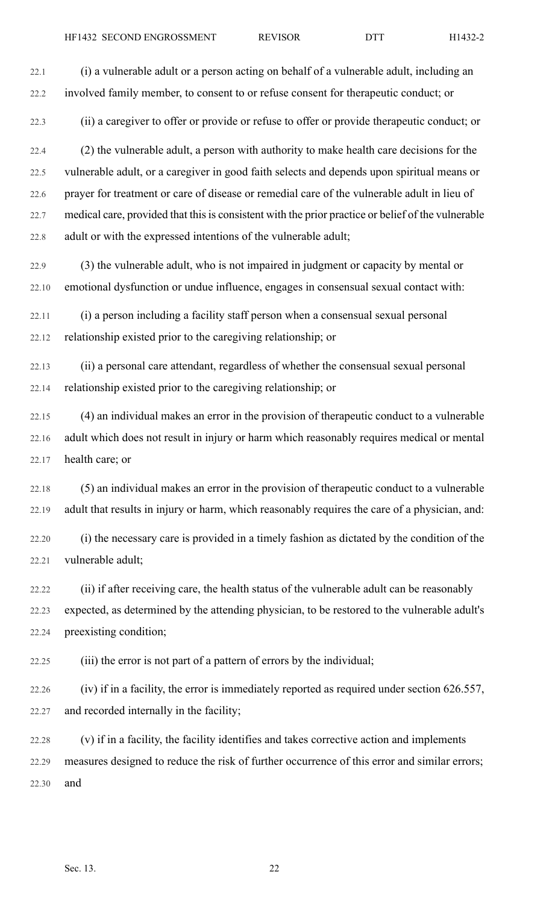22.3 (ii) a caregiver to offer or provide or refuse to offer or provide therapeutic conduct; or

22.4 (2) the vulnerable adult, a person with authority to make health care decisions for the 22.5 vulnerable adult, or a caregiver in good faith selects and depends upon spiritual means or 22.6 prayer for treatment or care of disease or remedial care of the vulnerable adult in lieu of 22.7 medical care, provided that this is consistent with the prior practice or belief of the vulnerable 22.8 adult or with the expressed intentions of the vulnerable adult;

22.9 (3) the vulnerable adult, who is not impaired in judgment or capacity by mental or 22.10 emotional dysfunction or undue influence, engages in consensual sexual contact with:

22.11 (i) a person including a facility staff person when a consensual sexual personal 22.12 relationship existed prior to the caregiving relationship; or

22.13 (ii) a personal care attendant, regardless of whether the consensual sexual personal 22.14 relationship existed prior to the caregiving relationship; or

22.15 (4) an individual makes an error in the provision of therapeutic conduct to a vulnerable 22.16 adult which does not result in injury or harm which reasonably requires medical or mental 22.17 health care; or

22.18 (5) an individual makes an error in the provision of therapeutic conduct to a vulnerable 22.19 adult that results in injury or harm, which reasonably requires the care of a physician, and:

22.20 (i) the necessary care is provided in a timely fashion as dictated by the condition of the 22.21 vulnerable adult;

22.22 (ii) if after receiving care, the health status of the vulnerable adult can be reasonably 22.23 expected, as determined by the attending physician, to be restored to the vulnerable adult's 22.24 preexisting condition;

22.25 (iii) the error is not part of a pattern of errors by the individual;

22.26 (iv) if in a facility, the error is immediately reported as required under section 626.557, 22.27 and recorded internally in the facility;

22.28 (v) if in a facility, the facility identifies and takes corrective action and implements 22.29 measures designed to reduce the risk of further occurrence of this error and similar errors; 22.30 and